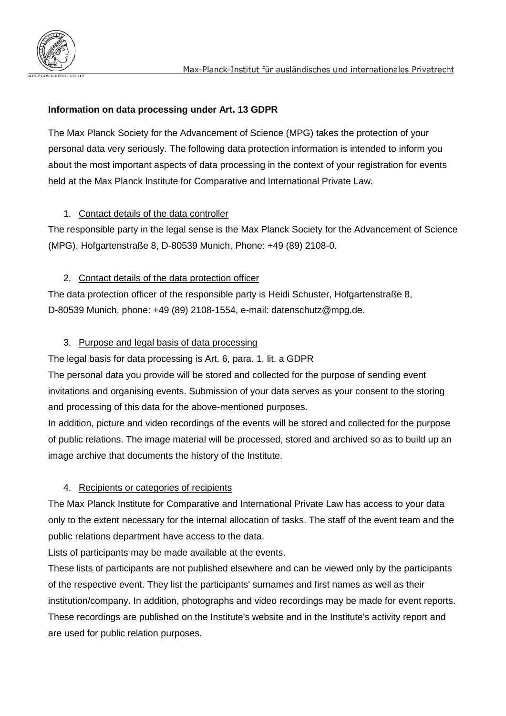## **Information on data processing under Art. 13 GDPR**

The Max Planck Society for the Advancement of Science (MPG) takes the protection of your personal data very seriously. The following data protection information is intended to inform you about the most important aspects of data processing in the context of your registration for events held at the Max Planck Institute for Comparative and International Private Law.

### 1. Contact details of the data controller

The responsible party in the legal sense is the Max Planck Society for the Advancement of Science (MPG), Hofgartenstraße 8, D-80539 Munich, Phone: +49 (89) 2108-0.

### 2. Contact details of the data protection officer

The data protection officer of the responsible party is Heidi Schuster, Hofgartenstraße 8, D-80539 Munich, phone: +49 (89) 2108-1554, e-mail: datenschutz@mpg.de.

# 3. Purpose and legal basis of data processing

The legal basis for data processing is Art. 6, para. 1, lit. a GDPR

The personal data you provide will be stored and collected for the purpose of sending event invitations and organising events. Submission of your data serves as your consent to the storing and processing of this data for the above-mentioned purposes.

In addition, picture and video recordings of the events will be stored and collected for the purpose of public relations. The image material will be processed, stored and archived so as to build up an image archive that documents the history of the Institute.

### 4. Recipients or categories of recipients

The Max Planck Institute for Comparative and International Private Law has access to your data only to the extent necessary for the internal allocation of tasks. The staff of the event team and the public relations department have access to the data.

Lists of participants may be made available at the events.

These lists of participants are not published elsewhere and can be viewed only by the participants of the respective event. They list the participants' surnames and first names as well as their institution/company. In addition, photographs and video recordings may be made for event reports. These recordings are published on the Institute's website and in the Institute's activity report and are used for public relation purposes.